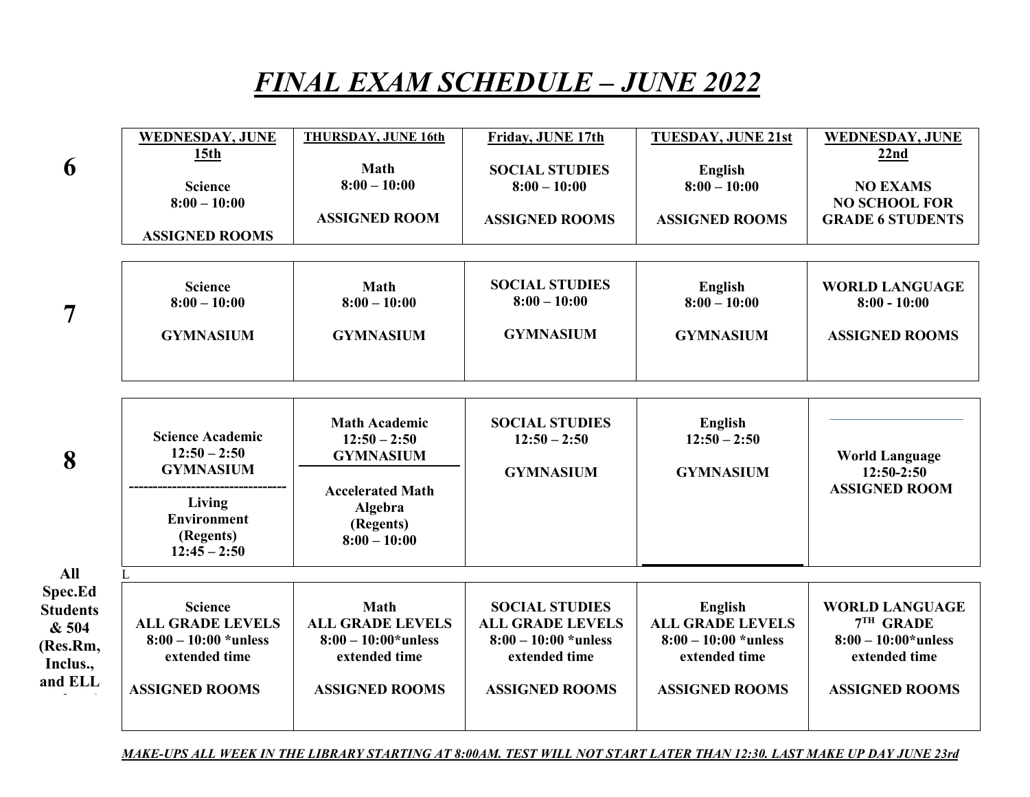## FINAL EXAM SCHEDULE – JUNE 2022

| 6                                                                                    | <b>WEDNESDAY, JUNE</b><br>15 <sub>th</sub><br><b>Science</b><br>$8:00 - 10:00$<br><b>ASSIGNED ROOMS</b>                      | <b>THURSDAY, JUNE 16th</b><br><b>Math</b><br>$8:00 - 10:00$<br><b>ASSIGNED ROOM</b>                                             | Friday, JUNE 17th<br><b>SOCIAL STUDIES</b><br>$8:00 - 10:00$<br><b>ASSIGNED ROOMS</b>                                | <b>TUESDAY, JUNE 21st</b><br>English<br>$8:00 - 10:00$<br><b>ASSIGNED ROOMS</b>                        | <b>WEDNESDAY, JUNE</b><br>22nd<br><b>NO EXAMS</b><br><b>NO SCHOOL FOR</b><br><b>GRADE 6 STUDENTS</b>   |
|--------------------------------------------------------------------------------------|------------------------------------------------------------------------------------------------------------------------------|---------------------------------------------------------------------------------------------------------------------------------|----------------------------------------------------------------------------------------------------------------------|--------------------------------------------------------------------------------------------------------|--------------------------------------------------------------------------------------------------------|
| $\overline{7}$                                                                       | <b>Science</b><br>$8:00 - 10:00$<br><b>GYMNASIUM</b>                                                                         | <b>Math</b><br>$8:00 - 10:00$<br><b>GYMNASIUM</b>                                                                               | <b>SOCIAL STUDIES</b><br>$8:00 - 10:00$<br><b>GYMNASIUM</b>                                                          | English<br>$8:00 - 10:00$<br><b>GYMNASIUM</b>                                                          | <b>WORLD LANGUAGE</b><br>$8:00 - 10:00$<br><b>ASSIGNED ROOMS</b>                                       |
| 8                                                                                    | <b>Science Academic</b><br>$12:50 - 2:50$<br><b>GYMNASIUM</b><br>Living<br><b>Environment</b><br>(Regents)<br>$12:45 - 2:50$ | <b>Math Academic</b><br>$12:50 - 2:50$<br><b>GYMNASIUM</b><br><b>Accelerated Math</b><br>Algebra<br>(Regents)<br>$8:00 - 10:00$ | <b>SOCIAL STUDIES</b><br>$12:50 - 2:50$<br><b>GYMNASIUM</b>                                                          | English<br>$12:50 - 2:50$<br><b>GYMNASIUM</b>                                                          | <b>World Language</b><br>$12:50-2:50$<br><b>ASSIGNED ROOM</b>                                          |
| <b>All</b><br>Spec.Ed<br><b>Students</b><br>& 504<br>(Res.Rm,<br>Inclus.,<br>and ELL | L<br><b>Science</b><br><b>ALL GRADE LEVELS</b><br>$8:00 - 10:00$ *unless<br>extended time<br><b>ASSIGNED ROOMS</b>           | <b>Math</b><br><b>ALL GRADE LEVELS</b><br>$8:00 - 10:00*$ unless<br>extended time<br><b>ASSIGNED ROOMS</b>                      | <b>SOCIAL STUDIES</b><br><b>ALL GRADE LEVELS</b><br>$8:00 - 10:00$ *unless<br>extended time<br><b>ASSIGNED ROOMS</b> | English<br><b>ALL GRADE LEVELS</b><br>$8:00 - 10:00$ *unless<br>extended time<br><b>ASSIGNED ROOMS</b> | <b>WORLD LANGUAGE</b><br>$7TH$ GRADE<br>$8:00-10:00*$ unless<br>extended time<br><b>ASSIGNED ROOMS</b> |

MAKE-UPS ALL WEEK IN THE LIBRARY STARTING AT 8:00AM. TEST WILL NOT START LATER THAN 12:30. LAST MAKE UP DAY JUNE 23rd